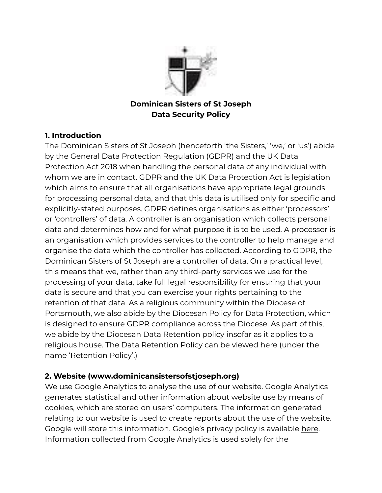

### **Dominican Sisters of St Joseph Data Security Policy**

### **1. Introduction**

The Dominican Sisters of St Joseph (henceforth 'the Sisters,' 'we,' or 'us') abide by the General Data Protection Regulation (GDPR) and the UK Data Protection Act 2018 when handling the personal data of any individual with whom we are in contact. GDPR and the UK Data Protection Act is legislation which aims to ensure that all organisations have appropriate legal grounds for processing personal data, and that this data is utilised only for specific and explicitly-stated purposes. GDPR defines organisations as either 'processors' or 'controllers' of data. A controller is an organisation which collects personal data and determines how and for what purpose it is to be used. A processor is an organisation which provides services to the controller to help manage and organise the data which the controller has collected. According to GDPR, the Dominican Sisters of St Joseph are a controller of data. On a practical level, this means that we, rather than any third-party services we use for the processing of your data, take full legal responsibility for ensuring that your data is secure and that you can exercise your rights pertaining to the retention of that data. As a religious community within the Diocese of Portsmouth, we also abide by the Diocesan Policy for Data Protection, which is designed to ensure GDPR compliance across the Diocese. As part of this, we abide by the Diocesan Data Retention policy insofar as it applies to a religious house. The Data Retention Policy can be viewed here (under the name 'Retention Policy'.)

### **2. Website (www.dominicansistersofstjoseph.org)**

We use Google Analytics to analyse the use of our website. Google Analytics generates statistical and other information about website use by means of cookies, which are stored on users' computers. The information generated relating to our website is used to create reports about the use of the website. Google will store this information. Google's privacy policy is available [here](http://www.google.com/privacypolicy.html). Information collected from Google Analytics is used solely for the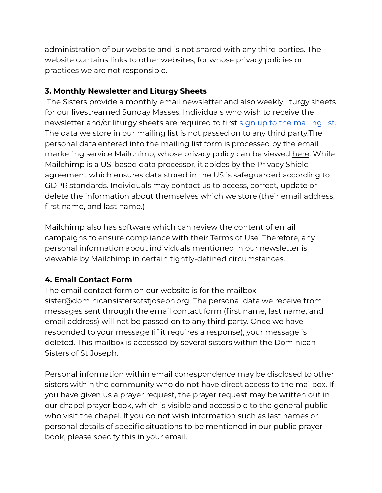administration of our website and is not shared with any third parties. The website contains links to other websites, for whose privacy policies or practices we are not responsible.

### **3. Monthly Newsletter and Liturgy Sheets**

The Sisters provide a monthly email newsletter and also weekly liturgy sheets for our livestreamed Sunday Masses. Individuals who wish to receive the newsletter and/or liturgy sheets are required to first sign up to the [mailing](https://mailchi.mp/724cb9b6ad8f/dominicansisters) list. The data we store in our mailing list is not passed on to any third party.The personal data entered into the mailing list form is processed by the email marketing service Mailchimp, whose privacy policy can be viewed [here](https://mailchimp.com/legal/privacy/). While Mailchimp is a US-based data processor, it abides by the Privacy Shield agreement which ensures data stored in the US is safeguarded according to GDPR standards. Individuals may contact us to access, correct, update or delete the information about themselves which we store (their email address, first name, and last name.)

Mailchimp also has software which can review the content of email campaigns to ensure compliance with their Terms of Use. Therefore, any personal information about individuals mentioned in our newsletter is viewable by Mailchimp in certain tightly-defined circumstances.

### **4. Email Contact Form**

The email contact form on our website is for the mailbox sister@dominicansistersofstjoseph.org. The personal data we receive from messages sent through the email contact form (first name, last name, and email address) will not be passed on to any third party. Once we have responded to your message (if it requires a response), your message is deleted. This mailbox is accessed by several sisters within the Dominican Sisters of St Joseph.

Personal information within email correspondence may be disclosed to other sisters within the community who do not have direct access to the mailbox. If you have given us a prayer request, the prayer request may be written out in our chapel prayer book, which is visible and accessible to the general public who visit the chapel. If you do not wish information such as last names or personal details of specific situations to be mentioned in our public prayer book, please specify this in your email.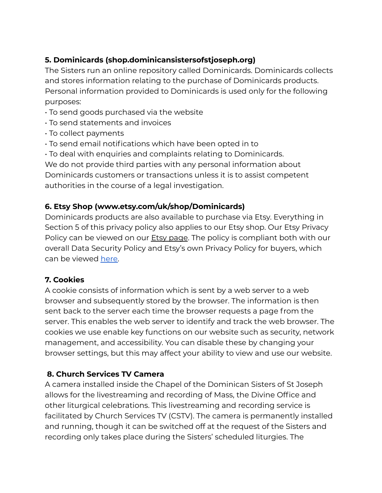# **5. Dominicards (shop.dominicansistersofstjoseph.org)**

The Sisters run an online repository called Dominicards. Dominicards collects and stores information relating to the purchase of Dominicards products. Personal information provided to Dominicards is used only for the following purposes:

- To send goods purchased via the website
- To send statements and invoices
- To collect payments
- To send email notifications which have been opted in to
- To deal with enquiries and complaints relating to Dominicards.

We do not provide third parties with any personal information about Dominicards customers or transactions unless it is to assist competent authorities in the course of a legal investigation.

# **6. Etsy Shop (www.etsy.com/uk/shop/Dominicards)**

Dominicards products are also available to purchase via Etsy. Everything in Section 5 of this privacy policy also applies to our Etsy shop. Our Etsy Privacy Policy can be viewed on our **Etsy [page](http://www.etsy.com/uk/shop/Dominicards)**. The policy is compliant both with our overall Data Security Policy and Etsy's own Privacy Policy for buyers, which can be viewed [here.](https://www.etsy.com/uk/legal/privacy/#:~:text=%20Privacy%20Policy%20%201%20Our%20Privacy%20Policy.,these%20messages%20are%20delivered%20by%20email%2C...%20More%20)

### **7. Cookies**

A cookie consists of information which is sent by a web server to a web browser and subsequently stored by the browser. The information is then sent back to the server each time the browser requests a page from the server. This enables the web server to identify and track the web browser. The cookies we use enable key functions on our website such as security, network management, and accessibility. You can disable these by changing your browser settings, but this may affect your ability to view and use our website.

# **8. Church Services TV Camera**

A camera installed inside the Chapel of the Dominican Sisters of St Joseph allows for the livestreaming and recording of Mass, the Divine Office and other liturgical celebrations. This livestreaming and recording service is facilitated by Church Services TV (CSTV). The camera is permanently installed and running, though it can be switched off at the request of the Sisters and recording only takes place during the Sisters' scheduled liturgies. The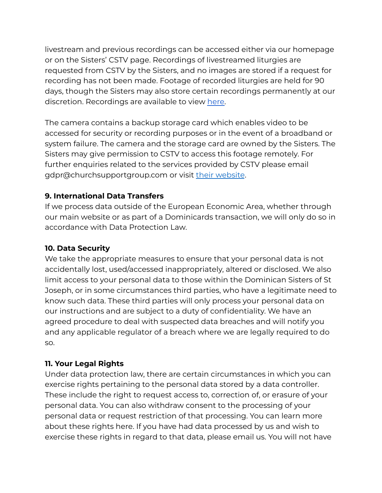livestream and previous recordings can be accessed either via our homepage or on the Sisters' CSTV page. Recordings of livestreamed liturgies are requested from CSTV by the Sisters, and no images are stored if a request for recording has not been made. Footage of recorded liturgies are held for 90 days, though the Sisters may also store certain recordings permanently at our discretion. Recordings are available to view [here.](https://www.churchservices.tv/lymington)

The camera contains a backup storage card which enables video to be accessed for security or recording purposes or in the event of a broadband or system failure. The camera and the storage card are owned by the Sisters. The Sisters may give permission to CSTV to access this footage remotely. For further enquiries related to the services provided by CSTV please email gdpr@churchsupportgroup.com or visit their [website](http://www.churchservices.tv/).

### **9. International Data Transfers**

If we process data outside of the European Economic Area, whether through our main website or as part of a Dominicards transaction, we will only do so in accordance with Data Protection Law.

### **10. Data Security**

We take the appropriate measures to ensure that your personal data is not accidentally lost, used/accessed inappropriately, altered or disclosed. We also limit access to your personal data to those within the Dominican Sisters of St Joseph, or in some circumstances third parties, who have a legitimate need to know such data. These third parties will only process your personal data on our instructions and are subject to a duty of confidentiality. We have an agreed procedure to deal with suspected data breaches and will notify you and any applicable regulator of a breach where we are legally required to do so.

### **11. Your Legal Rights**

Under data protection law, there are certain circumstances in which you can exercise rights pertaining to the personal data stored by a data controller. These include the right to request access to, correction of, or erasure of your personal data. You can also withdraw consent to the processing of your personal data or request restriction of that processing. You can learn more about these rights here. If you have had data processed by us and wish to exercise these rights in regard to that data, please email us. You will not have